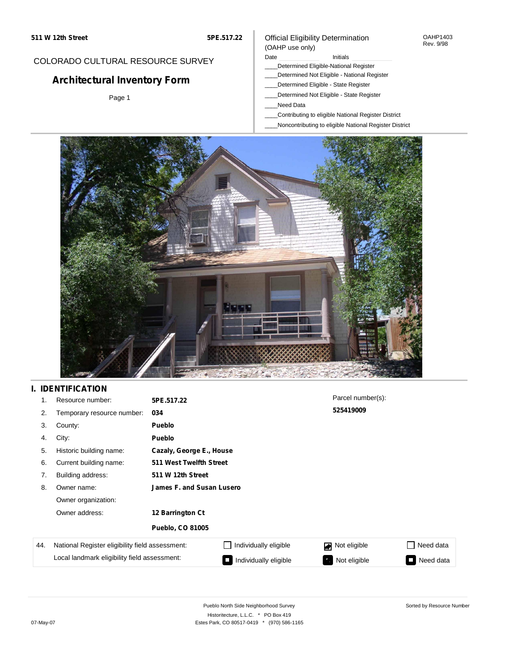#### OAHP1403 Rev. 9/98

## COLORADO CULTURAL RESOURCE SURVEY

# **Architectural Inventory Form**

Page 1

### (OAHP use only) Date **Initials** Initials

Official Eligibility Determination

- \_\_\_\_Determined Eligible-National Register
- \_\_\_\_Determined Not Eligible National Register
- \_\_\_\_Determined Eligible State Register
- \_\_\_\_Determined Not Eligible State Register
- \_\_\_\_Need Data
- \_\_\_\_Contributing to eligible National Register District
- \_\_\_\_Noncontributing to eligible National Register District



## **I. IDENTIFICATION**

| 1.  | Resource number:                                | 5PE.517.22                |                       | Parcel number(s): |           |  |  |
|-----|-------------------------------------------------|---------------------------|-----------------------|-------------------|-----------|--|--|
| 2.  | Temporary resource number:                      | 034                       |                       | 525419009         |           |  |  |
| 3.  | County:                                         | <b>Pueblo</b>             |                       |                   |           |  |  |
| 4.  | City:                                           | <b>Pueblo</b>             |                       |                   |           |  |  |
| 5.  | Historic building name:                         | Cazaly, George E., House  |                       |                   |           |  |  |
| 6.  | Current building name:                          | 511 West Twelfth Street   |                       |                   |           |  |  |
| 7.  | Building address:                               | 511 W 12th Street         |                       |                   |           |  |  |
| 8.  | Owner name:                                     | James F. and Susan Lusero |                       |                   |           |  |  |
|     | Owner organization:                             |                           |                       |                   |           |  |  |
|     | Owner address:                                  | 12 Barrington Ct          |                       |                   |           |  |  |
|     |                                                 | <b>Pueblo, CO 81005</b>   |                       |                   |           |  |  |
| 44. | National Register eligibility field assessment: |                           | Individually eligible | Not eligible<br>◪ | Need data |  |  |
|     | Local landmark eligibility field assessment:    |                           | Individually eligible | Not eligible      | Need data |  |  |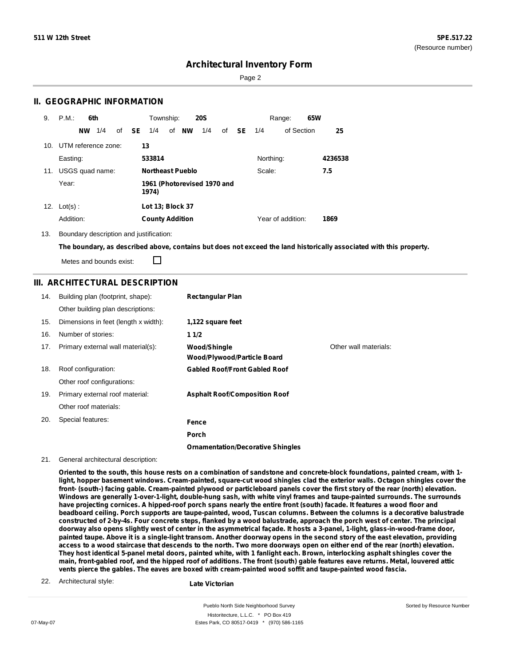Sorted by Resource Number

## **Architectural Inventory Form**

Page 2

### **II. GEOGRAPHIC INFORMATION**

| 9.  | P.M.<br>6th             | Township:<br><b>20S</b><br>Range:                                     | 65W     |  |
|-----|-------------------------|-----------------------------------------------------------------------|---------|--|
|     | 1/4<br><b>NW</b>        | of NW<br>of <b>SE</b><br>1/4<br>1/4<br>SE.<br>of Section<br>of<br>1/4 | 25      |  |
|     | 10. UTM reference zone: | 13                                                                    |         |  |
|     | Easting:                | 533814<br>Northing:                                                   | 4236538 |  |
| 11. | USGS quad name:         | <b>Northeast Pueblo</b><br>Scale:                                     | 7.5     |  |
|     | Year:                   | 1961 (Photorevised 1970 and<br>1974)                                  |         |  |
| 12. | $Lot(s)$ :              | Lot 13; Block 37                                                      |         |  |
|     | Addition:               | Year of addition:<br><b>County Addition</b>                           | 1869    |  |

13. Boundary description and justification:

The boundary, as described above, contains but does not exceed the land historically associated with this property.

Metes and bounds exist:

П

### **III. ARCHITECTURAL DESCRIPTION**

| 14. | Building plan (footprint, shape):<br>Other building plan descriptions: | <b>Rectangular Plan</b>                            |                       |
|-----|------------------------------------------------------------------------|----------------------------------------------------|-----------------------|
| 15. | Dimensions in feet (length x width):                                   | 1,122 square feet                                  |                       |
| 16. | Number of stories:                                                     | 11/2                                               |                       |
| 17. | Primary external wall material(s):                                     | Wood/Shingle<br><b>Wood/Plywood/Particle Board</b> | Other wall materials: |
| 18. | Roof configuration:                                                    | <b>Gabled Roof/Front Gabled Roof</b>               |                       |
|     | Other roof configurations:                                             |                                                    |                       |
| 19. | Primary external roof material:                                        | <b>Asphalt Roof/Composition Roof</b>               |                       |
|     | Other roof materials:                                                  |                                                    |                       |
| 20. | Special features:                                                      | Fence                                              |                       |
|     |                                                                        | Porch                                              |                       |
|     |                                                                        | <b>Ornamentation/Decorative Shingles</b>           |                       |

21. General architectural description:

Oriented to the south, this house rests on a combination of sandstone and concrete-block foundations, painted cream, with 1light, hopper basement windows. Cream-painted, square-cut wood shingles clad the exterior walls. Octagon shingles cover the front- (south-) facing gable. Cream-painted plywood or particleboard panels cover the first story of the rear (north) elevation. Windows are generally 1-over-1-light, double-hung sash, with white vinyl frames and taupe-painted surrounds. The surrounds have projecting cornices. A hipped-roof porch spans nearly the entire front (south) facade. It features a wood floor and beadboard ceiling. Porch supports are taupe-painted, wood, Tuscan columns. Between the columns is a decorative balustrade constructed of 2-by-4s. Four concrete steps, flanked by a wood balustrade, approach the porch west of center. The principal doorway also opens slightly west of center in the asymmetrical façade. It hosts a 3-panel, 1-light, glass-in-wood-frame door, painted taupe. Above it is a single-light transom. Another doorway opens in the second story of the east elevation, providing access to a wood staircase that descends to the north. Two more doorways open on either end of the rear (north) elevation. They host identical 5-panel metal doors, painted white, with 1 fanlight each. Brown, interlocking asphalt shingles cover the main, front-gabled roof, and the hipped roof of additions. The front (south) gable features eave returns. Metal, louvered attic **vents pierce the gables. The eaves are boxed with cream-painted wood soffit and taupe-painted wood fascia.**

22. Architectural style:

**Late Victorian**

Pueblo North Side Neighborhood Survey Historitecture, L.L.C. \* PO Box 419 07-May-07 **Estes Park, CO 80517-0419** \* (970) 586-1165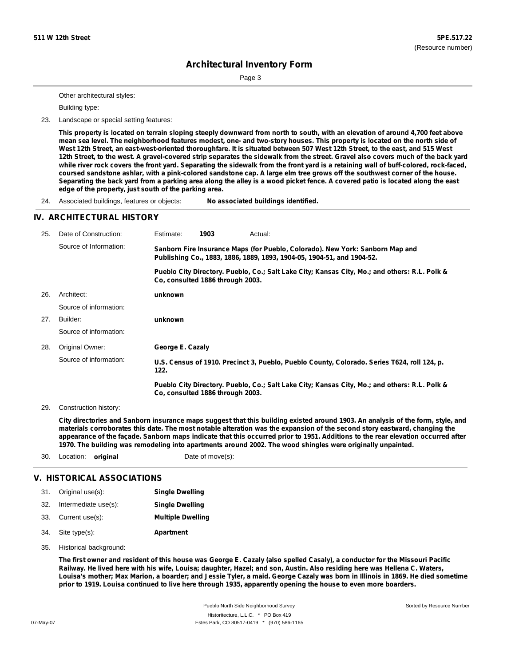Sorted by Resource Number

# **Architectural Inventory Form**

Page 3

Other architectural styles:

Building type:

23. Landscape or special setting features:

This property is located on terrain sloping steeply downward from north to south, with an elevation of around 4,700 feet above mean sea level. The neighborhood features modest, one- and two-story houses. This property is located on the north side of West 12th Street, an east-west-oriented thoroughfare. It is situated between 507 West 12th Street, to the east, and 515 West 12th Street, to the west. A gravel-covered strip separates the sidewalk from the street. Gravel also covers much of the back yard while river rock covers the front yard. Separating the sidewalk from the front yard is a retaining wall of buff-colored, rock-faced, coursed sandstone ashlar, with a pink-colored sandstone cap. A large elm tree grows off the southwest corner of the house. Separating the back yard from a parking area along the alley is a wood picket fence. A covered patio is located along the east **edge of the property, just south of the parking area.**

24. Associated buildings, features or objects: **No associated buildings identified.**

### **IV. ARCHITECTURAL HISTORY**

| 25. | Date of Construction:  | Estimate:                                                                                                                                               | 1903                             | Actual:                                                                                       |  |
|-----|------------------------|---------------------------------------------------------------------------------------------------------------------------------------------------------|----------------------------------|-----------------------------------------------------------------------------------------------|--|
|     | Source of Information: | Sanborn Fire Insurance Maps (for Pueblo, Colorado). New York: Sanborn Map and<br>Publishing Co., 1883, 1886, 1889, 1893, 1904-05, 1904-51, and 1904-52. |                                  |                                                                                               |  |
|     |                        |                                                                                                                                                         | Co. consulted 1886 through 2003. | Pueblo City Directory. Pueblo, Co.; Salt Lake City; Kansas City, Mo.; and others: R.L. Polk & |  |
| 26. | Architect:             | unknown                                                                                                                                                 |                                  |                                                                                               |  |
|     | Source of information: |                                                                                                                                                         |                                  |                                                                                               |  |
| 27. | Builder:               | unknown                                                                                                                                                 |                                  |                                                                                               |  |
|     | Source of information: |                                                                                                                                                         |                                  |                                                                                               |  |
| 28. | Original Owner:        | George E. Cazaly                                                                                                                                        |                                  |                                                                                               |  |
|     | Source of information: | 122.                                                                                                                                                    |                                  | U.S. Census of 1910. Precinct 3, Pueblo, Pueblo County, Colorado. Series T624, roll 124, p.   |  |
|     |                        |                                                                                                                                                         | Co. consulted 1886 through 2003. | Pueblo City Directory. Pueblo, Co.; Salt Lake City; Kansas City, Mo.; and others: R.L. Polk & |  |

Construction history: 29.

> City directories and Sanborn insurance maps suggest that this building existed around 1903. An analysis of the form, style, and materials corroborates this date. The most notable alteration was the expansion of the second story eastward, changing the appearance of the façade. Sanborn maps indicate that this occurred prior to 1951. Additions to the rear elevation occurred after **1970. The building was remodeling into apartments around 2002. The wood shingles were originally unpainted.**

30. Location: **original Date of move(s):** 

### **V. HISTORICAL ASSOCIATIONS**

|     | 31. Original use(s): | <b>Single Dwelling</b>   |
|-----|----------------------|--------------------------|
| 32. | Intermediate use(s): | <b>Single Dwelling</b>   |
|     | 33. Current use(s):  | <b>Multiple Dwelling</b> |
|     | 34. Site type(s):    | <b>Apartment</b>         |

35. Historical background:

The first owner and resident of this house was George E. Cazaly (also spelled Casaly), a conductor for the Missouri Pacific Railway. He lived here with his wife, Louisa; daughter, Hazel; and son, Austin. Also residing here was Hellena C. Waters, Louisa's mother; Max Marion, a boarder; and Jessie Tyler, a maid. George Cazaly was born in Illinois in 1869. He died sometime prior to 1919. Louisa continued to live here through 1935, apparently opening the house to even more boarders.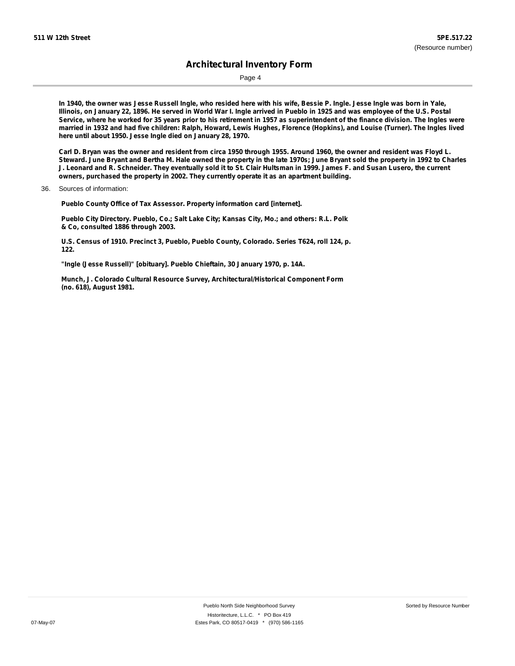Page 4

In 1940, the owner was Jesse Russell Ingle, who resided here with his wife, Bessie P. Ingle. Jesse Ingle was born in Yale, Illinois, on January 22, 1896. He served in World War I. Ingle arrived in Pueblo in 1925 and was employee of the U.S. Postal Service, where he worked for 35 years prior to his retirement in 1957 as superintendent of the finance division. The Ingles were married in 1932 and had five children: Ralph, Howard, Lewis Hughes, Florence (Hopkins), and Louise (Turner). The Ingles lived **here until about 1950. Jesse Ingle died on January 28, 1970.**

Carl D. Bryan was the owner and resident from circa 1950 through 1955. Around 1960, the owner and resident was Floyd L. Steward. June Bryant and Bertha M. Hale owned the property in the late 1970s; June Bryant sold the property in 1992 to Charles J. Leonard and R. Schneider. They eventually sold it to St. Clair Hultsman in 1999. James F. and Susan Lusero, the current **owners, purchased the property in 2002. They currently operate it as an apartment building.**

**Pueblo County Office of Tax Assessor. Property information card [internet].**

**Pueblo City Directory. Pueblo, Co.; Salt Lake City; Kansas City, Mo.; and others: R.L. Polk & Co, consulted 1886 through 2003.**

**U.S. Census of 1910. Precinct 3, Pueblo, Pueblo County, Colorado. Series T624, roll 124, p. 122.**

**"Ingle (Jesse Russell)" [obituary]. Pueblo Chieftain, 30 January 1970, p. 14A.**

**Munch, J. Colorado Cultural Resource Survey, Architectural/Historical Component Form (no. 618), August 1981.**

<sup>36.</sup> Sources of information: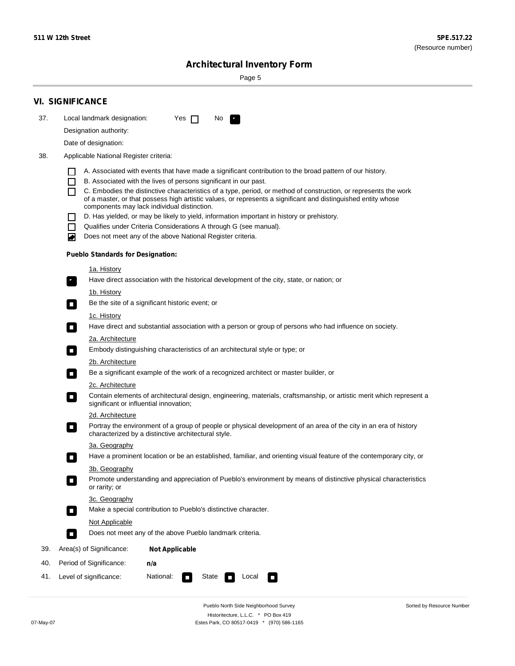Sorted by Resource Number

# **Architectural Inventory Form**

Page 5

|     | <b>VI. SIGNIFICANCE</b>                                                                                                                                                                        |  |  |  |  |  |  |
|-----|------------------------------------------------------------------------------------------------------------------------------------------------------------------------------------------------|--|--|--|--|--|--|
| 37. | Local landmark designation:<br>Yes $\Box$<br>No.<br>$\mathbf{F}_{\mathbf{r}}$                                                                                                                  |  |  |  |  |  |  |
|     | Designation authority:                                                                                                                                                                         |  |  |  |  |  |  |
|     | Date of designation:                                                                                                                                                                           |  |  |  |  |  |  |
| 38. | Applicable National Register criteria:                                                                                                                                                         |  |  |  |  |  |  |
|     |                                                                                                                                                                                                |  |  |  |  |  |  |
|     | A. Associated with events that have made a significant contribution to the broad pattern of our history.<br>B. Associated with the lives of persons significant in our past.<br>$\blacksquare$ |  |  |  |  |  |  |
|     | C. Embodies the distinctive characteristics of a type, period, or method of construction, or represents the work<br>П                                                                          |  |  |  |  |  |  |
|     | of a master, or that possess high artistic values, or represents a significant and distinguished entity whose<br>components may lack individual distinction.                                   |  |  |  |  |  |  |
|     | D. Has yielded, or may be likely to yield, information important in history or prehistory.                                                                                                     |  |  |  |  |  |  |
|     | Qualifies under Criteria Considerations A through G (see manual).<br>$\sim$                                                                                                                    |  |  |  |  |  |  |
|     | Does not meet any of the above National Register criteria.<br>₩                                                                                                                                |  |  |  |  |  |  |
|     | <b>Pueblo Standards for Designation:</b>                                                                                                                                                       |  |  |  |  |  |  |
|     | 1a. History                                                                                                                                                                                    |  |  |  |  |  |  |
|     | $\overline{\mathbf{r}}_1$<br>Have direct association with the historical development of the city, state, or nation; or                                                                         |  |  |  |  |  |  |
|     | <u>1b. History</u>                                                                                                                                                                             |  |  |  |  |  |  |
|     | Be the site of a significant historic event; or<br>$\overline{\phantom{a}}$                                                                                                                    |  |  |  |  |  |  |
|     | 1c. History                                                                                                                                                                                    |  |  |  |  |  |  |
|     | Have direct and substantial association with a person or group of persons who had influence on society.<br>$\overline{\phantom{a}}$                                                            |  |  |  |  |  |  |
|     | 2a. Architecture                                                                                                                                                                               |  |  |  |  |  |  |
|     | Embody distinguishing characteristics of an architectural style or type; or<br>$\Box$                                                                                                          |  |  |  |  |  |  |
|     | 2b. Architecture                                                                                                                                                                               |  |  |  |  |  |  |
|     | Be a significant example of the work of a recognized architect or master builder, or<br>$\Box$                                                                                                 |  |  |  |  |  |  |
|     | 2c. Architecture                                                                                                                                                                               |  |  |  |  |  |  |
|     | Contain elements of architectural design, engineering, materials, craftsmanship, or artistic merit which represent a<br>$\Box$<br>significant or influential innovation;                       |  |  |  |  |  |  |
|     | 2d. Architecture                                                                                                                                                                               |  |  |  |  |  |  |
|     | Portray the environment of a group of people or physical development of an area of the city in an era of history<br>$\Box$<br>characterized by a distinctive architectural style.              |  |  |  |  |  |  |
|     | 3a. Geography                                                                                                                                                                                  |  |  |  |  |  |  |
|     | Have a prominent location or be an established, familiar, and orienting visual feature of the contemporary city, or                                                                            |  |  |  |  |  |  |
|     | 3b. Geography<br>Promote understanding and appreciation of Pueblo's environment by means of distinctive physical characteristics                                                               |  |  |  |  |  |  |
|     | or rarity; or                                                                                                                                                                                  |  |  |  |  |  |  |
|     | 3c. Geography                                                                                                                                                                                  |  |  |  |  |  |  |
|     | Make a special contribution to Pueblo's distinctive character.<br>$\overline{\phantom{a}}$                                                                                                     |  |  |  |  |  |  |
|     | <b>Not Applicable</b>                                                                                                                                                                          |  |  |  |  |  |  |
|     | Does not meet any of the above Pueblo landmark criteria.<br>$\overline{\phantom{a}}$                                                                                                           |  |  |  |  |  |  |
| 39. | Area(s) of Significance:<br><b>Not Applicable</b>                                                                                                                                              |  |  |  |  |  |  |
| 40. | Period of Significance:<br>n/a                                                                                                                                                                 |  |  |  |  |  |  |
| 41. | National:<br>Level of significance:<br>State<br>Local<br>$\mathcal{L}_{\mathcal{A}}$<br>$\Box$                                                                                                 |  |  |  |  |  |  |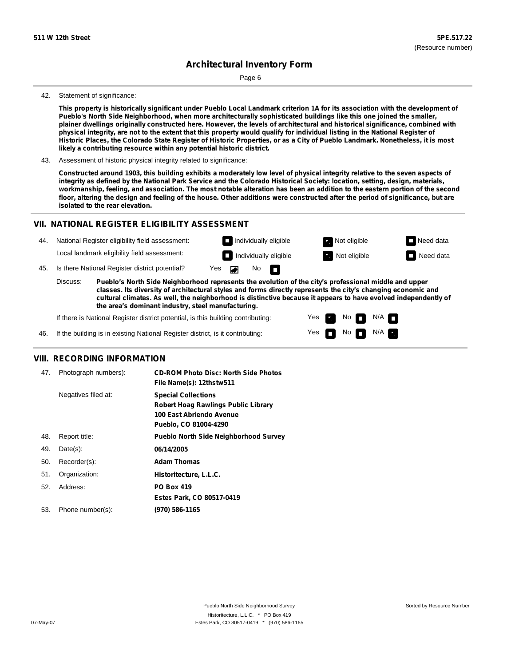Page 6

#### 42. Statement of significance:

This property is historically significant under Pueblo Local Landmark criterion 1A for its association with the development of **Pueblo's North Side Neighborhood, when more architecturally sophisticated buildings like this one joined the smaller,** plainer dwellings originally constructed here. However, the levels of architectural and historical significance, combined with physical integrity, are not to the extent that this property would qualify for individual listing in the National Register of Historic Places, the Colorado State Register of Historic Properties, or as a City of Pueblo Landmark. Nonetheless, it is most **likely a contributing resource within any potential historic district.**

43. Assessment of historic physical integrity related to significance:

Constructed around 1903, this building exhibits a moderately low level of physical integrity relative to the seven aspects of integrity as defined by the National Park Service and the Colorado Historical Society: location, setting, design, materials, workmanship, feeling, and association. The most notable alteration has been an addition to the eastern portion of the second floor, altering the design and feeling of the house. Other additions were constructed after the period of significance, but are **isolated to the rear elevation.**

## **VII. NATIONAL REGISTER ELIGIBILITY ASSESSMENT**

| 44. | National Register eligibility field assessment: |                                                                                                                                                                                                                        |                    | Individually eligible |                     |                              | Not eligible | $\Box$ Need data |
|-----|-------------------------------------------------|------------------------------------------------------------------------------------------------------------------------------------------------------------------------------------------------------------------------|--------------------|-----------------------|---------------------|------------------------------|--------------|------------------|
|     |                                                 | Local landmark eligibility field assessment:                                                                                                                                                                           |                    |                       |                     | $\Box$ Individually eligible | Not eligible | $\Box$ Need data |
| 45. | Is there National Register district potential?  |                                                                                                                                                                                                                        | Yes $\blacksquare$ |                       | $No$ $\blacksquare$ |                              |              |                  |
|     | Discuss:                                        | Pueblo's North Side Neighborhood represents the evolution of the city's professional middle and upper<br>classes. Its diversity of architectural styles and forms directly represents the city's changing economic and |                    |                       |                     |                              |              |                  |

**classes. Its diversity of architectural styles and forms directly represents the city's changing economic and cultural climates. As well, the neighborhood is distinctive because it appears to have evolved independently of the area's dominant industry, steel manufacturing.**

> Yes Yes

Non<sub>d</sub> N/A  $\blacksquare$  No  $\blacksquare$  N/A  $\blacksquare$ 

If there is National Register district potential, is this building contributing:

46. If the building is in existing National Register district, is it contributing:

### **VIII. RECORDING INFORMATION**

| 47. | Photograph numbers): | <b>CD-ROM Photo Disc: North Side Photos</b><br>File Name(s): 12thstw511                                                       |
|-----|----------------------|-------------------------------------------------------------------------------------------------------------------------------|
|     | Negatives filed at:  | <b>Special Collections</b><br><b>Robert Hoag Rawlings Public Library</b><br>100 East Abriendo Avenue<br>Pueblo, CO 81004-4290 |
| 48. | Report title:        | <b>Pueblo North Side Neighborhood Survey</b>                                                                                  |
| 49. | $Date(s)$ :          | 06/14/2005                                                                                                                    |
| 50. | Recorder(s):         | <b>Adam Thomas</b>                                                                                                            |
| 51. | Organization:        | Historitecture, L.L.C.                                                                                                        |
| 52. | Address:             | <b>PO Box 419</b>                                                                                                             |
|     |                      | Estes Park, CO 80517-0419                                                                                                     |
| 53. | Phone number(s):     | (970) 586-1165                                                                                                                |
|     |                      |                                                                                                                               |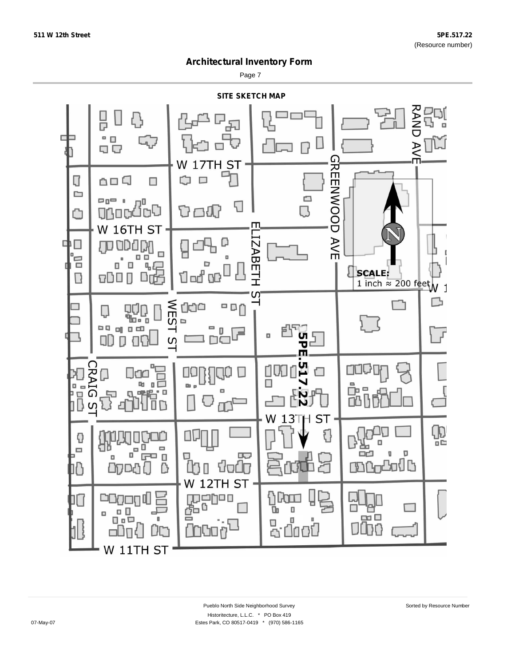Page 7